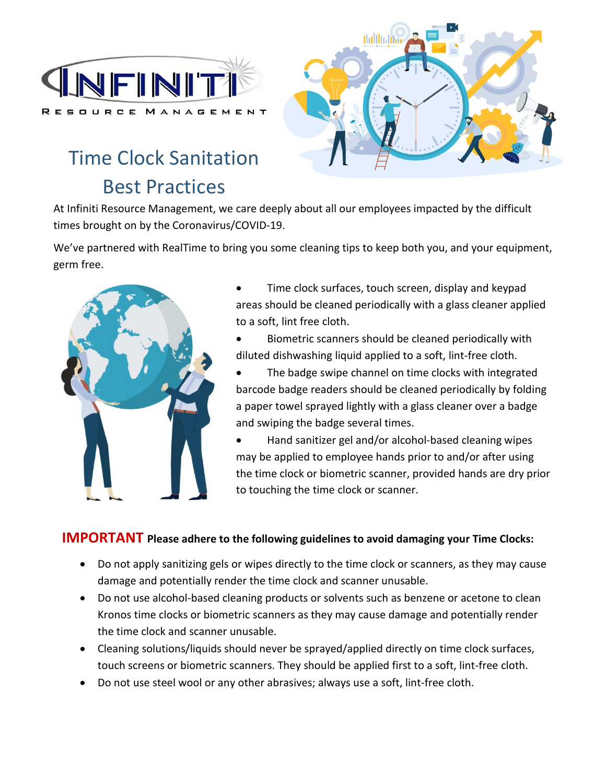

## Time Clock Sanitation Best Practices



At Infiniti Resource Management, we care deeply about all our employees impacted by the difficult times brought on by the Coronavirus/COVID-19.

We've partnered with RealTime to bring you some cleaning tips to keep both you, and your equipment, germ free.



• Time clock surfaces, touch screen, display and keypad areas should be cleaned periodically with a glass cleaner applied to a soft, lint free cloth.

- Biometric scanners should be cleaned periodically with diluted dishwashing liquid applied to a soft, lint-free cloth.
- The badge swipe channel on time clocks with integrated barcode badge readers should be cleaned periodically by folding a paper towel sprayed lightly with a glass cleaner over a badge and swiping the badge several times.

• Hand sanitizer gel and/or alcohol-based cleaning wipes may be applied to employee hands prior to and/or after using the time clock or biometric scanner, provided hands are dry prior to touching the time clock or scanner.

#### **IMPORTANT Please adhere to the following guidelines to avoid damaging your Time Clocks:**

- Do not apply sanitizing gels or wipes directly to the time clock or scanners, as they may cause damage and potentially render the time clock and scanner unusable.
- Do not use alcohol-based cleaning products or solvents such as benzene or acetone to clean Kronos time clocks or biometric scanners as they may cause damage and potentially render the time clock and scanner unusable.
- Cleaning solutions/liquids should never be sprayed/applied directly on time clock surfaces, touch screens or biometric scanners. They should be applied first to a soft, lint-free cloth.
- Do not use steel wool or any other abrasives; always use a soft, lint-free cloth.